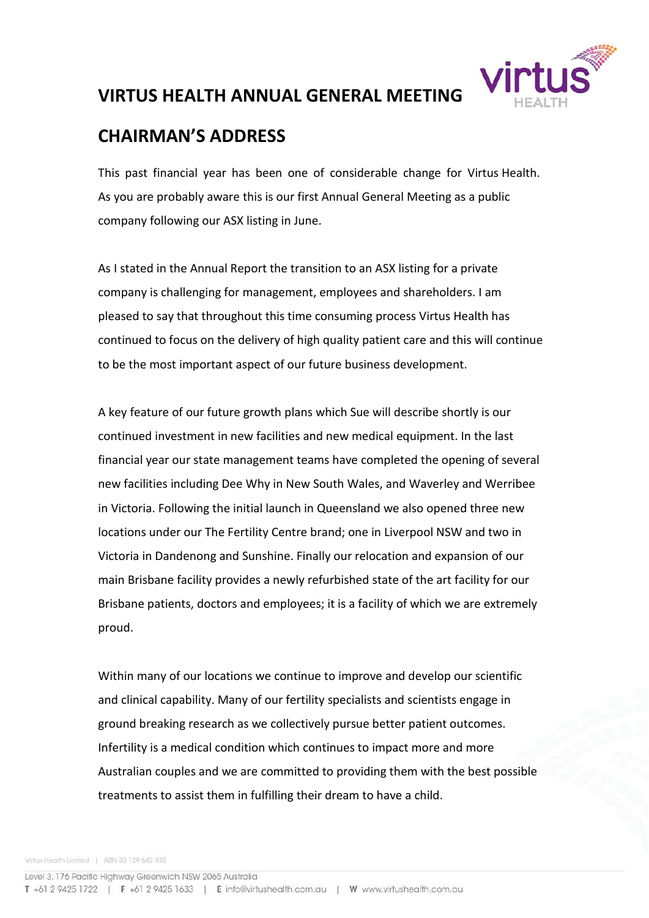

## **VIRTUS HEALTH ANNUAL GENERAL MEETING**

## **CHAIRMAN'S ADDRESS**

This past financial year has been one of considerable change for Virtus Health. As you are probably aware this is our first Annual General Meeting as a public company following our ASX listing in June.

As I stated in the Annual Report the transition to an ASX listing for a private company is challenging for management, employees and shareholders. I am pleased to say that throughout this time consuming process Virtus Health has continued to focus on the delivery of high quality patient care and this will continue to be the most important aspect of our future business development.

A key feature of our future growth plans which Sue will describe shortly is our continued investment in new facilities and new medical equipment. In the last financial year our state management teams have completed the opening of several new facilities including Dee Why in New South Wales, and Waverley and Werribee in Victoria. Following the initial launch in Queensland we also opened three new locations under our The Fertility Centre brand; one in Liverpool NSW and two in Victoria in Dandenong and Sunshine. Finally our relocation and expansion of our main Brisbane facility provides a newly refurbished state of the art facility for our Brisbane patients, doctors and employees; it is a facility of which we are extremely proud.

Within many of our locations we continue to improve and develop our scientific and clinical capability. Many of our fertility specialists and scientists engage in ground breaking research as we collectively pursue better patient outcomes. Infertility is a medical condition which continues to impact more and more Australian couples and we are committed to providing them with the best possible treatments to assist them in fulfilling their dream to have a child.

Virtus Health Limited | ABN 80 129 643 492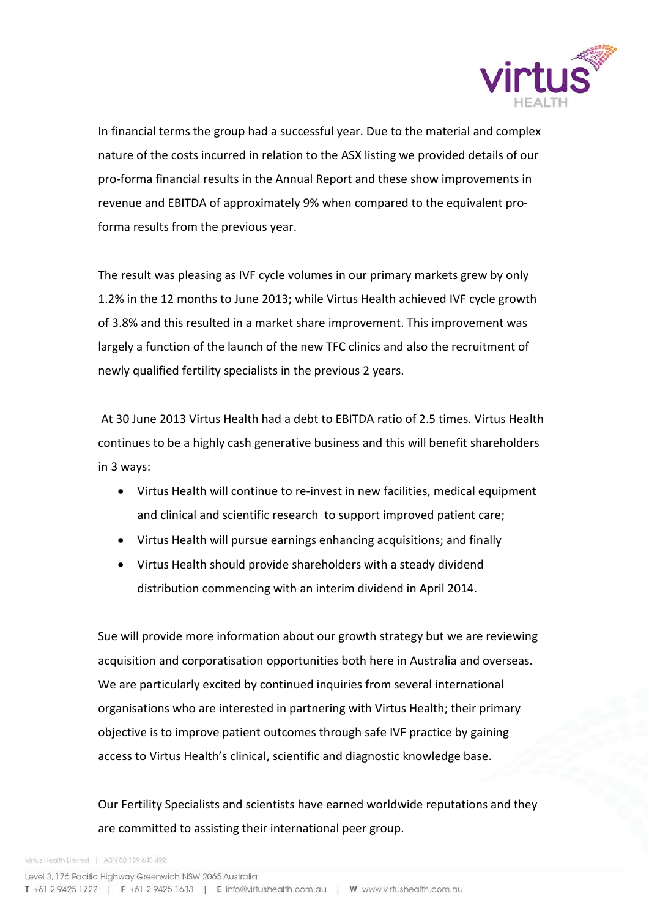

In financial terms the group had a successful year. Due to the material and complex nature of the costs incurred in relation to the ASX listing we provided details of our pro-forma financial results in the Annual Report and these show improvements in revenue and EBITDA of approximately 9% when compared to the equivalent proforma results from the previous year.

The result was pleasing as IVF cycle volumes in our primary markets grew by only 1.2% in the 12 months to June 2013; while Virtus Health achieved IVF cycle growth of 3.8% and this resulted in a market share improvement. This improvement was largely a function of the launch of the new TFC clinics and also the recruitment of newly qualified fertility specialists in the previous 2 years.

At 30 June 2013 Virtus Health had a debt to EBITDA ratio of 2.5 times. Virtus Health continues to be a highly cash generative business and this will benefit shareholders in 3 ways:

- Virtus Health will continue to re-invest in new facilities, medical equipment and clinical and scientific research to support improved patient care;
- Virtus Health will pursue earnings enhancing acquisitions; and finally
- Virtus Health should provide shareholders with a steady dividend distribution commencing with an interim dividend in April 2014.

Sue will provide more information about our growth strategy but we are reviewing acquisition and corporatisation opportunities both here in Australia and overseas. We are particularly excited by continued inquiries from several international organisations who are interested in partnering with Virtus Health; their primary objective is to improve patient outcomes through safe IVF practice by gaining access to Virtus Health's clinical, scientific and diagnostic knowledge base.

Our Fertility Specialists and scientists have earned worldwide reputations and they are committed to assisting their international peer group.

Virtus Health Limited | ABN 80 129 643 492